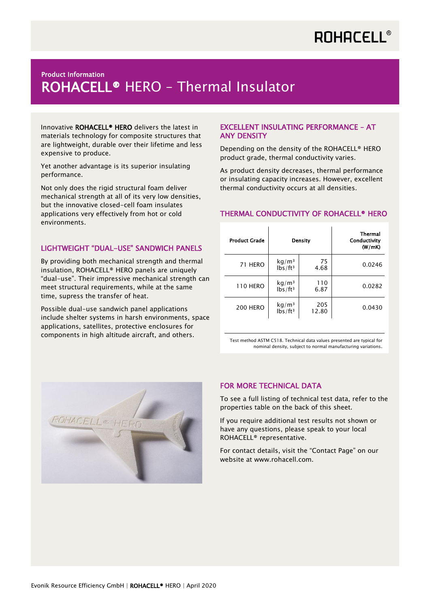# **ROHACELL®**

## nodatt information<br>ROHACELL® HERO - Thermal Insulator Product Information

Innovative ROHACELL<sup>®</sup> HERO delivers the latest in materials technology for composite structures that are lightweight, durable over their lifetime and less expensive to produce.

Yet another advantage is its superior insulating performance.

Not only does the rigid structural foam deliver mechanical strength at all of its very low densities, but the innovative closed-cell foam insulates applications very effectively from hot or cold environments.

#### LIGHTWEIGHT "DUAL-USE" SANDWICH PANELS

By providing both mechanical strength and thermal insulation, ROHACELL® HERO panels are uniquely "dual-use". Their impressive mechanical strength can meet structural requirements, while at the same time, supress the transfer of heat.

Possible dual-use sandwich panel applications include shelter systems in harsh environments, space applications, satellites, protective enclosures for components in high altitude aircraft, and others.

#### EXCELLENT INSULATING PERFORMANCE – AT ANY DENSITY

Depending on the density of the ROHACELL® HERO product grade, thermal conductivity varies.

As product density decreases, thermal performance or insulating capacity increases. However, excellent thermal conductivity occurs at all densities.

### THERMAL CONDUCTIVITY OF ROHACELL® HERO

| <b>Product Grade</b> |                                          | Density      | Thermal<br>Conductivity<br>(W/mK) |
|----------------------|------------------------------------------|--------------|-----------------------------------|
| 71 HERO              | kg/m <sup>3</sup><br>$lbs/ft^3$          | 75<br>4.68   | 0.0246                            |
| <b>110 HERO</b>      | kg/m <sup>3</sup><br>lbs/ft <sup>3</sup> | 110<br>6.87  | 0.0282                            |
| <b>200 HERO</b>      | $kg/m3$ lbs/ft <sup>3</sup>              | 205<br>12.80 | 0.0430                            |

Test method ASTM C518. Technical data values presented are typical for nominal density, subject to normal manufacturing variations.



### FOR MORE TECHNICAL DATA

To see a full listing of technical test data, refer to the properties table on the back of this sheet.

If you require additional test results not shown or have any questions, please speak to your local ROHACELL® representative.

For contact details, visit the "Contact Page" on our website at www.rohacell.com.